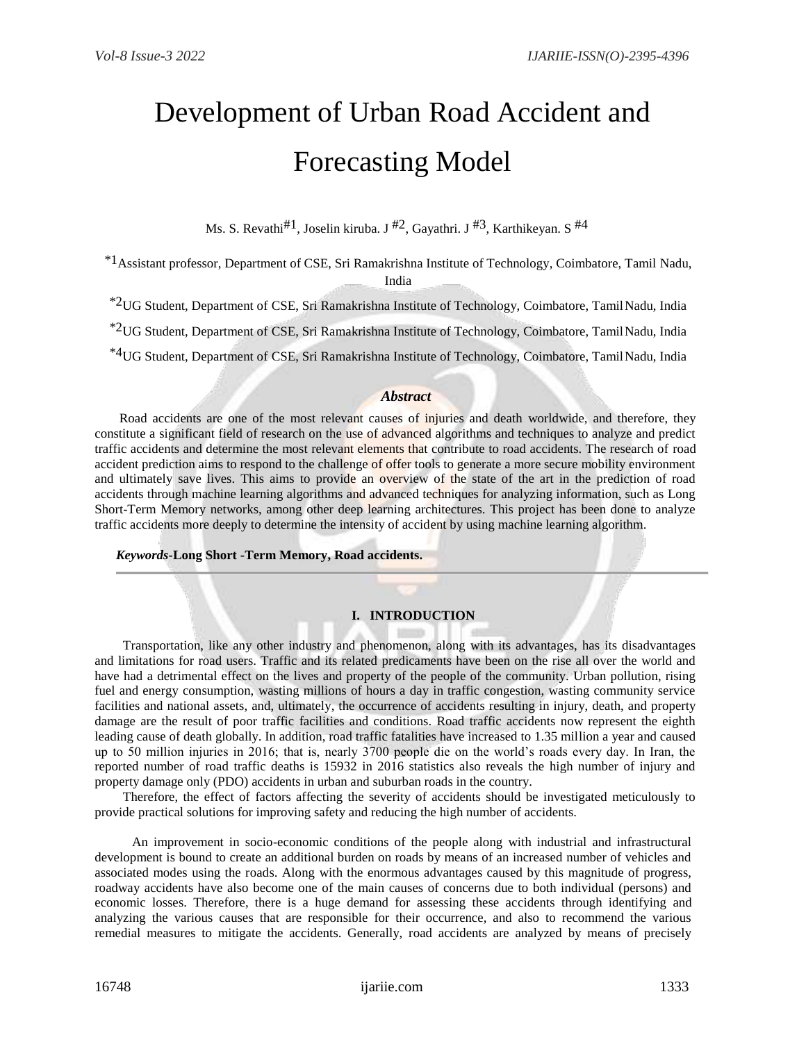# Development of Urban Road Accident and Forecasting Model

Ms. S. Revathi $#1$ , Joselin kiruba. J $#2$ , Gayathri. J $#3$ , Karthikeyan. S $#4$ 

\*1Assistant professor, Department of CSE, Sri Ramakrishna Institute of Technology, Coimbatore, Tamil Nadu, India

\*2UG Student, Department of CSE, Sri Ramakrishna Institute of Technology, Coimbatore, TamilNadu, India

\*2UG Student, Department of CSE, Sri Ramakrishna Institute of Technology, Coimbatore, TamilNadu, India

\*4UG Student, Department of CSE, Sri Ramakrishna Institute of Technology, Coimbatore, TamilNadu, India

### *Abstract*

Road accidents are one of the most relevant causes of injuries and death worldwide, and therefore, they constitute a significant field of research on the use of advanced algorithms and techniques to analyze and predict traffic accidents and determine the most relevant elements that contribute to road accidents. The research of road accident prediction aims to respond to the challenge of offer tools to generate a more secure mobility environment and ultimately save lives. This aims to provide an overview of the state of the art in the prediction of road accidents through machine learning algorithms and advanced techniques for analyzing information, such as Long Short-Term Memory networks, among other deep learning architectures. This project has been done to analyze traffic accidents more deeply to determine the intensity of accident by using machine learning algorithm.

#### *Keywords***-Long Short -Term Memory, Road accidents.**

## **I. INTRODUCTION**

Transportation, like any other industry and phenomenon, along with its advantages, has its disadvantages and limitations for road users. Traffic and its related predicaments have been on the rise all over the world and have had a detrimental effect on the lives and property of the people of the community. Urban pollution, rising fuel and energy consumption, wasting millions of hours a day in traffic congestion, wasting community service facilities and national assets, and, ultimately, the occurrence of accidents resulting in injury, death, and property damage are the result of poor traffic facilities and conditions. Road traffic accidents now represent the eighth leading cause of death globally. In addition, road traffic fatalities have increased to 1.35 million a year and caused up to 50 million injuries in 2016; that is, nearly 3700 people die on the world's roads every day. In Iran, the reported number of road traffic deaths is 15932 in 2016 statistics also reveals the high number of injury and property damage only (PDO) accidents in urban and suburban roads in the country.

Therefore, the effect of factors affecting the severity of accidents should be investigated meticulously to provide practical solutions for improving safety and reducing the high number of accidents.

An improvement in socio-economic conditions of the people along with industrial and infrastructural development is bound to create an additional burden on roads by means of an increased number of vehicles and associated modes using the roads. Along with the enormous advantages caused by this magnitude of progress, roadway accidents have also become one of the main causes of concerns due to both individual (persons) and economic losses. Therefore, there is a huge demand for assessing these accidents through identifying and analyzing the various causes that are responsible for their occurrence, and also to recommend the various remedial measures to mitigate the accidents. Generally, road accidents are analyzed by means of precisely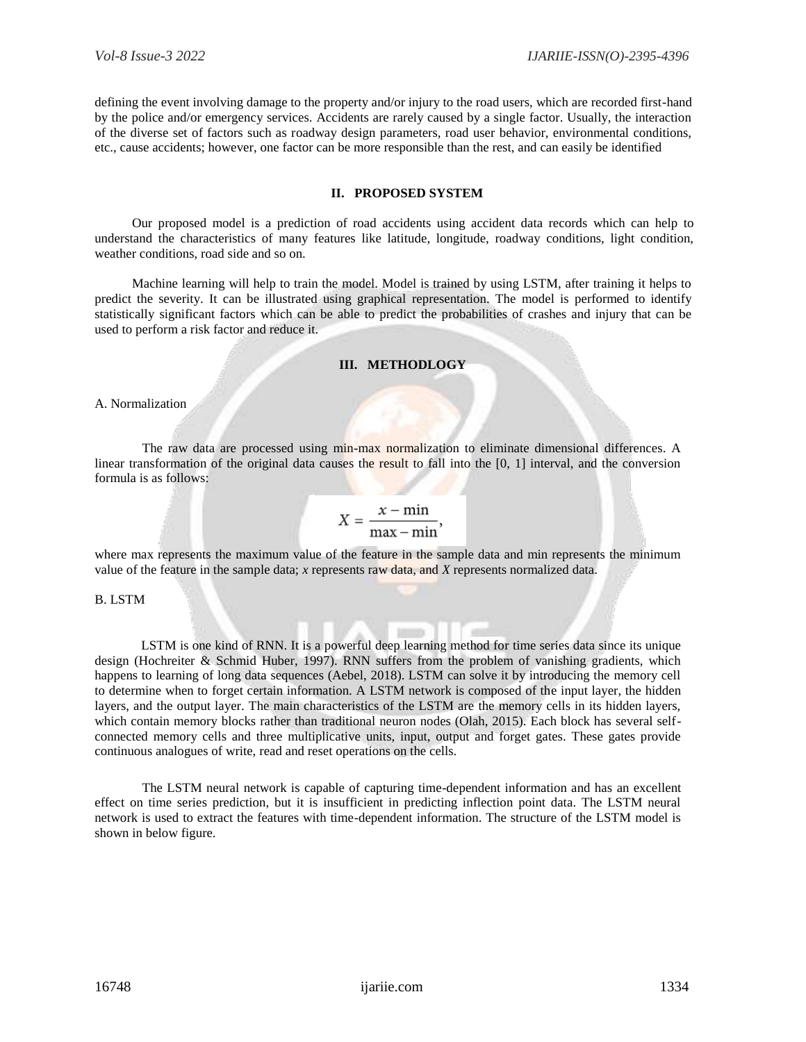defining the event involving damage to the property and/or injury to the road users, which are recorded first-hand by the police and/or emergency services. Accidents are rarely caused by a single factor. Usually, the interaction of the diverse set of factors such as roadway design parameters, road user behavior, environmental conditions, etc., cause accidents; however, one factor can be more responsible than the rest, and can easily be identified

#### **II. PROPOSED SYSTEM**

Our proposed model is a prediction of road accidents using accident data records which can help to understand the characteristics of many features like latitude, longitude, roadway conditions, light condition, weather conditions, road side and so on.

Machine learning will help to train the model. Model is trained by using LSTM, after training it helps to predict the severity. It can be illustrated using graphical representation. The model is performed to identify statistically significant factors which can be able to predict the probabilities of crashes and injury that can be used to perform a risk factor and reduce it.

#### **III. METHODLOGY**

A. Normalization

The raw data are processed using min-max normalization to eliminate dimensional differences. A linear transformation of the original data causes the result to fall into the [0, 1] interval, and the conversion formula is as follows:

# $X = \frac{x - \min}{\max - \min},$

where max represents the maximum value of the feature in the sample data and min represents the minimum value of the feature in the sample data; *x* represents raw data, and *X* represents normalized data.

B. LSTM

LSTM is one kind of RNN. It is a powerful deep learning method for time series data since its unique design (Hochreiter & Schmid Huber, 1997). RNN suffers from the problem of vanishing gradients, which happens to learning of long data sequences (Aebel, 2018). LSTM can solve it by introducing the memory cell to determine when to forget certain information. A LSTM network is composed of the input layer, the hidden layers, and the output layer. The main characteristics of the LSTM are the memory cells in its hidden layers, which contain memory blocks rather than traditional neuron nodes (Olah, 2015). Each block has several selfconnected memory cells and three multiplicative units, input, output and forget gates. These gates provide continuous analogues of write, read and reset operations on the cells.

The LSTM neural network is capable of capturing time-dependent information and has an excellent effect on time series prediction, but it is insufficient in predicting inflection point data. The LSTM neural network is used to extract the features with time-dependent information. The structure of the LSTM model is shown in below figure.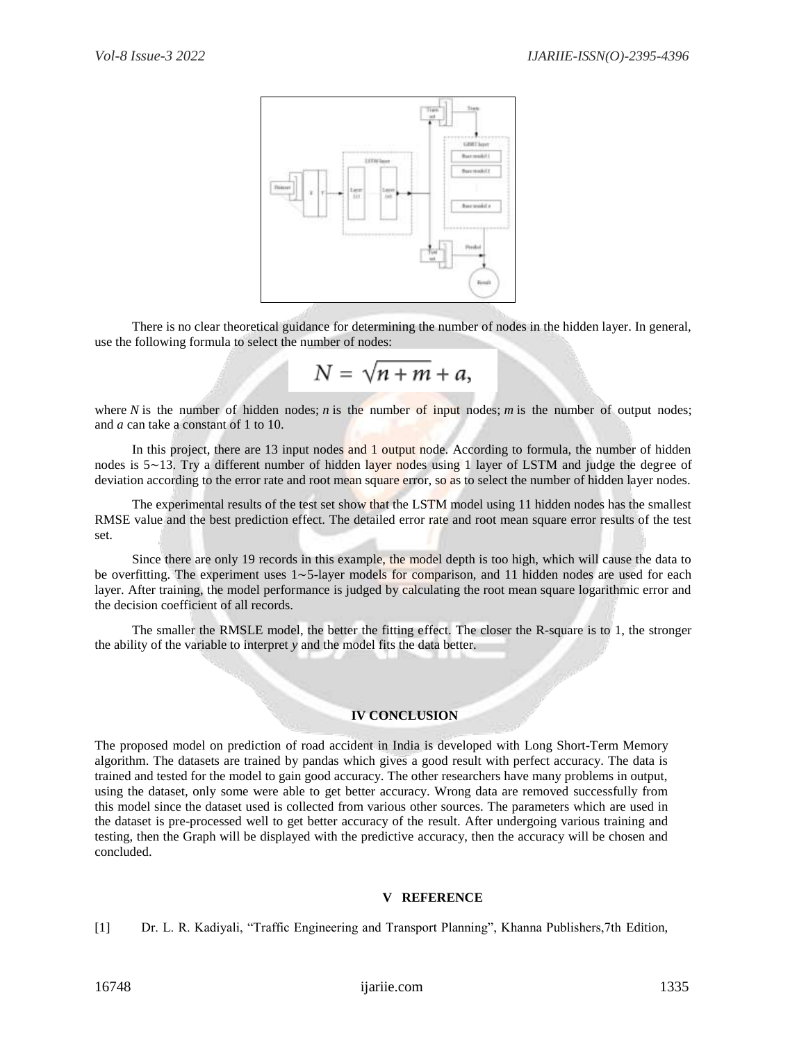

There is no clear theoretical guidance for determining the number of nodes in the hidden layer. In general, use the following formula to select the number of nodes:

$$
N=\sqrt{n+m}+a
$$

where *N* is the number of hidden nodes; *n* is the number of input nodes; *m* is the number of output nodes; and *a* can take a constant of 1 to 10.

In this project, there are 13 input nodes and 1 output node. According to formula, the number of hidden nodes is 5∼13. Try a different number of hidden layer nodes using 1 layer of LSTM and judge the degree of deviation according to the error rate and root mean square error, so as to select the number of hidden layer nodes.

The experimental results of the test set show that the LSTM model using 11 hidden nodes has the smallest RMSE value and the best prediction effect. The detailed error rate and root mean square error results of the test set.

Since there are only 19 records in this example, the model depth is too high, which will cause the data to be overfitting. The experiment uses 1∼5-layer models for comparison, and 11 hidden nodes are used for each layer. After training, the model performance is judged by calculating the root mean square logarithmic error and the decision coefficient of all records.

The smaller the RMSLE model, the better the fitting effect. The closer the R-square is to 1, the stronger the ability of the variable to interpret *y* and the model fits the data better.

### **IV CONCLUSION**

The proposed model on prediction of road accident in India is developed with Long Short-Term Memory algorithm. The datasets are trained by pandas which gives a good result with perfect accuracy. The data is trained and tested for the model to gain good accuracy. The other researchers have many problems in output, using the dataset, only some were able to get better accuracy. Wrong data are removed successfully from this model since the dataset used is collected from various other sources. The parameters which are used in the dataset is pre-processed well to get better accuracy of the result. After undergoing various training and testing, then the Graph will be displayed with the predictive accuracy, then the accuracy will be chosen and concluded.

#### **V REFERENCE**

[1] Dr. L. R. Kadiyali, "Traffic Engineering and Transport Planning", Khanna Publishers,7th Edition,